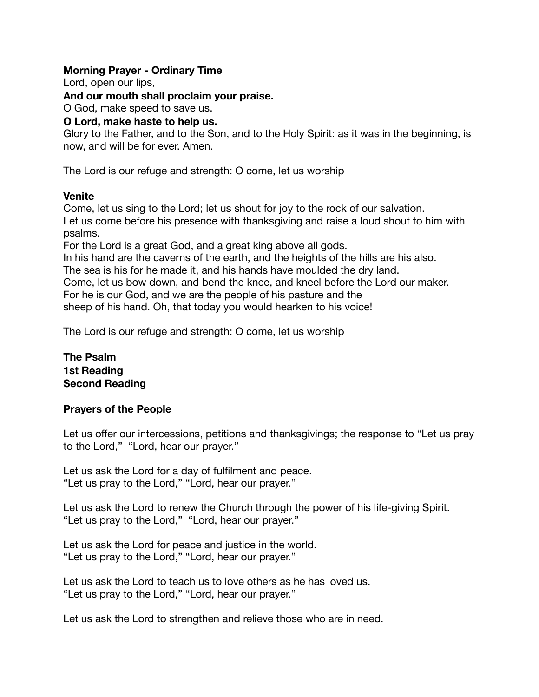## **Morning Prayer - Ordinary Time**

Lord, open our lips,

### **And our mouth shall proclaim your praise.**

O God, make speed to save us.

### **O Lord, make haste to help us.**

Glory to the Father, and to the Son, and to the Holy Spirit: as it was in the beginning, is now, and will be for ever. Amen.

The Lord is our refuge and strength: O come, let us worship

## **Venite**

Come, let us sing to the Lord; let us shout for joy to the rock of our salvation. Let us come before his presence with thanksgiving and raise a loud shout to him with psalms.

For the Lord is a great God, and a great king above all gods.

In his hand are the caverns of the earth, and the heights of the hills are his also.

The sea is his for he made it, and his hands have moulded the dry land.

Come, let us bow down, and bend the knee, and kneel before the Lord our maker.

For he is our God, and we are the people of his pasture and the

sheep of his hand. Oh, that today you would hearken to his voice!

The Lord is our refuge and strength: O come, let us worship

**The Psalm 1st Reading Second Reading**

# **Prayers of the People**

Let us offer our intercessions, petitions and thanksgivings; the response to "Let us pray to the Lord," "Lord, hear our prayer."

Let us ask the Lord for a day of fulfilment and peace. "Let us pray to the Lord," "Lord, hear our prayer."

Let us ask the Lord to renew the Church through the power of his life-giving Spirit. "Let us pray to the Lord," "Lord, hear our prayer."

Let us ask the Lord for peace and justice in the world. "Let us pray to the Lord," "Lord, hear our prayer."

Let us ask the Lord to teach us to love others as he has loved us. "Let us pray to the Lord," "Lord, hear our prayer."

Let us ask the Lord to strengthen and relieve those who are in need.